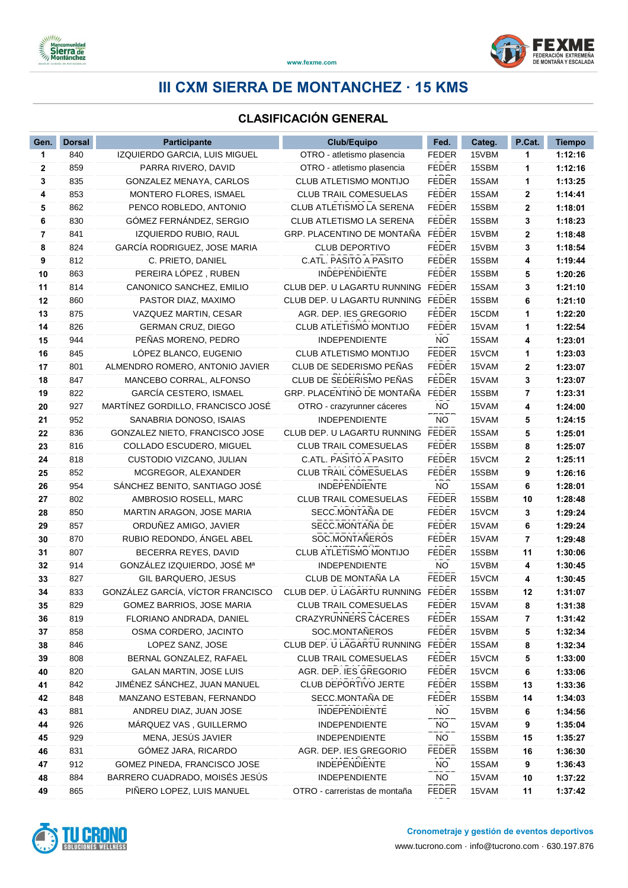



#### **CLASIFICACIÓN GENERAL**

| Gen. | <b>Dorsal</b> | <b>Participante</b>               | <b>Club/Equipo</b>            | Fed.         | Categ. | P.Cat.      | <b>Tiempo</b> |
|------|---------------|-----------------------------------|-------------------------------|--------------|--------|-------------|---------------|
| 1    | 840           | IZQUIERDO GARCIA, LUIS MIGUEL     | OTRO - atletismo plasencia    | <b>FEDER</b> | 15VBM  | 1           | 1:12:16       |
| 2    | 859           | PARRA RIVERO, DAVID               | OTRO - atletismo plasencia    | <b>FEDER</b> | 15SBM  | 1           | 1:12:16       |
| 3    | 835           | GONZALEZ MENAYA, CARLOS           | CLUB ATLETISMO MONTIJO        | <b>FEDER</b> | 15SAM  | 1           | 1:13:25       |
| 4    | 853           | MONTERO FLORES, ISMAEL            | <b>CLUB TRAIL COMESUELAS</b>  | <b>FEDER</b> | 15SAM  | 2           | 1:14:41       |
| 5    | 862           | PENCO ROBLEDO, ANTONIO            | CLUB ATLETISMO LA SERENA      | <b>FEDER</b> | 15SBM  | $\mathbf 2$ | 1:18:01       |
| 6    | 830           | GÓMEZ FERNÁNDEZ, SERGIO           | CLUB ATLETISMO LA SERENA      | <b>FEDER</b> | 15SBM  | 3           | 1:18:23       |
| 7    | 841           | IZQUIERDO RUBIO, RAUL             | GRP. PLACENTINO DE MONTAÑA    | <b>FEDER</b> | 15VBM  | 2           | 1:18:48       |
| 8    | 824           | GARCÍA RODRIGUEZ, JOSE MARIA      | <b>CLUB DEPORTIVO</b>         | <b>FEDER</b> | 15VBM  | 3           | 1:18:54       |
| 9    | 812           | C. PRIETO, DANIEL                 | C.ATL. PASITO A PASITO        | <b>FEDER</b> | 15SBM  | 4           | 1:19:44       |
| 10   | 863           | PEREIRA LÓPEZ, RUBEN              | INDEPENDIENTE                 | <b>FEDER</b> | 15SBM  | 5           | 1:20:26       |
| 11   | 814           | CANONICO SANCHEZ, EMILIO          | CLUB DEP. U LAGARTU RUNNING   | <b>FEDER</b> | 15SAM  | 3           | 1:21:10       |
| 12   | 860           | PASTOR DIAZ, MAXIMO               | CLUB DEP. U LAGARTU RUNNING   | <b>FEDER</b> | 15SBM  | 6           | 1:21:10       |
| 13   | 875           | VAZQUEZ MARTIN, CESAR             | AGR. DEP. IES GREGORIO        | <b>FEDER</b> | 15CDM  | 1           | 1:22:20       |
| 14   | 826           | <b>GERMAN CRUZ, DIEGO</b>         | CLUB ATLETISMO MONTIJO        | <b>FEDER</b> | 15VAM  | 1           | 1:22:54       |
| 15   | 944           | PEÑAS MORENO, PEDRO               | <b>INDEPENDIENTE</b>          | <b>NO</b>    | 15SAM  | 4           | 1:23:01       |
| 16   | 845           | LÓPEZ BLANCO, EUGENIO             | CLUB ATLETISMO MONTIJO        | <b>FEDER</b> | 15VCM  | 1           | 1:23:03       |
| 17   | 801           | ALMENDRO ROMERO, ANTONIO JAVIER   | CLUB DE SEDERISMO PEÑAS       | <b>FEDER</b> | 15VAM  | 2           | 1:23:07       |
| 18   | 847           | MANCEBO CORRAL, ALFONSO           | CLUB DE SEDERISMO PEÑAS       | <b>FEDER</b> | 15VAM  | 3           | 1:23:07       |
| 19   | 822           | GARCÍA CESTERO, ISMAEL            | GRP. PLACENTINO DE MONTAÑA    | <b>FEDER</b> | 15SBM  | 7           | 1:23:31       |
| 20   | 927           | MARTÍNEZ GORDILLO, FRANCISCO JOSÉ | OTRO - crazyrunner cáceres    | <b>NO</b>    | 15VAM  | 4           | 1:24:00       |
| 21   | 952           | SANABRIA DONOSO, ISAIAS           | INDEPENDIENTE                 | NO           | 15VAM  | 5           | 1:24:15       |
| 22   | 836           | GONZALEZ NIETO, FRANCISCO JOSE    | CLUB DEP. U LAGARTU RUNNING   | <b>FEDER</b> | 15SAM  | 5           | 1:25:01       |
| 23   | 816           | COLLADO ESCUDERO, MIGUEL          | CLUB TRAIL COMESUELAS         | <b>FEDER</b> | 15SBM  | 8           | 1:25:07       |
| 24   | 818           | CUSTODIO VIZCANO, JULIAN          | C.ATL. PASITO A PASITO        | <b>FEDER</b> | 15VCM  | $\mathbf 2$ | 1:25:11       |
| 25   | 852           | MCGREGOR, ALEXANDER               | <b>CLUB TRAIL COMESUELAS</b>  | <b>FEDER</b> | 15SBM  | 9           | 1:26:16       |
| 26   | 954           | SÁNCHEZ BENITO, SANTIAGO JOSÉ     | <b>INDEPENDIENTE</b>          | <b>NO</b>    | 15SAM  | 6           | 1:28:01       |
| 27   | 802           | AMBROSIO ROSELL, MARC             | CLUB TRAIL COMESUELAS         | <b>FEDER</b> | 15SBM  | 10          | 1:28:48       |
| 28   | 850           | MARTIN ARAGON, JOSE MARIA         | SECC.MONTAÑA DE               | <b>FEDER</b> | 15VCM  | 3           | 1:29:24       |
| 29   | 857           | ORDUÑEZ AMIGO, JAVIER             | SECC.MONTAÑA DE               | <b>FEDER</b> | 15VAM  | 6           | 1:29:24       |
| 30   | 870           | RUBIO REDONDO, ÁNGEL ABEL         | SOC.MONTAÑEROS                | <b>FEDER</b> | 15VAM  | 7           | 1:29:48       |
| 31   | 807           | BECERRA REYES, DAVID              | CLUB ATLETISMO MONTIJO        | FEDER        | 15SBM  | 11          | 1:30:06       |
| 32   | 914           | GONZÁLEZ IZQUIERDO, JOSÉ Mª       | INDEPENDIENTE                 | <b>NO</b>    | 15VBM  | 4           | 1:30:45       |
| 33   | 827           | GIL BARQUERO, JESUS               | CLUB DE MONTAÑA LA            | <b>FEDER</b> | 15VCM  | 4           | 1:30:45       |
| 34   | 833           | GONZÁLEZ GARCÍA, VÍCTOR FRANCISCO | CLUB DEP. U LAGARTU RUNNING   | <b>FEDER</b> | 15SBM  | 12          | 1:31:07       |
| 35   | 829           | GOMEZ BARRIOS, JOSE MARIA         | CLUB TRAIL COMESUELAS         | <b>FEDER</b> | 15VAM  | 8           | 1:31:38       |
| 36   | 819           | FLORIANO ANDRADA, DANIEL          | <b>CRAZYRUNNERS CACERES</b>   | FEDER        | 15SAM  | 7           | 1:31:42       |
| 37   | 858           | OSMA CORDERO, JACINTO             | SOC.MONTAÑEROS                | FEDER        | 15VBM  | 5           | 1:32:34       |
| 38   | 846           | LOPEZ SANZ, JOSE                  | CLUB DEP. U LAGARTU RUNNING   | FEDER        | 15SAM  | 8           | 1:32:34       |
| 39   | 808           | BERNAL GONZALEZ, RAFAEL           | CLUB TRAIL COMESUELAS         | <b>FEDER</b> | 15VCM  | 5           | 1:33:00       |
| 40   | 820           | GALAN MARTIN, JOSE LUIS           | AGR. DEP. IES GREGORIO        | FEDER        | 15VCM  | 6           | 1:33:06       |
| 41   | 842           | JIMÉNEZ SÁNCHEZ, JUAN MANUEL      | <b>CLUB DEPORTIVO JERTE</b>   | <b>FEDER</b> | 15SBM  | 13          | 1:33:36       |
| 42   | 848           | MANZANO ESTEBAN, FERNANDO         | SECC.MONTAÑA DE               | <b>FEDER</b> | 15SBM  | 14          | 1:34:03       |
| 43   | 881           | ANDREU DIAZ, JUAN JOSE            | INDEPENDIENTE                 | NO           | 15VBM  | 6           | 1:34:56       |
| 44   | 926           | MÁRQUEZ VAS, GUILLERMO            | INDEPENDIENTE                 | <b>NO</b>    | 15VAM  | 9           | 1:35:04       |
| 45   | 929           | MENA, JESÚS JAVIER                | <b>INDEPENDIENTE</b>          | <b>NO</b>    | 15SBM  | 15          | 1:35:27       |
| 46   | 831           | GÓMEZ JARA, RICARDO               | AGR. DEP. IES GREGORIO        | <b>FEDER</b> | 15SBM  | 16          | 1:36:30       |
| 47   | 912           | GOMEZ PINEDA, FRANCISCO JOSE      | INDEPENDIENTE                 | NO           | 15SAM  | 9           | 1:36:43       |
| 48   | 884           | BARRERO CUADRADO, MOISÉS JESÚS    | INDEPENDIENTE                 | NO           | 15VAM  | 10          | 1:37:22       |
| 49   | 865           | PIÑERO LOPEZ, LUIS MANUEL         | OTRO - carreristas de montaña | <b>FEDER</b> | 15VAM  | 11          | 1:37:42       |



ADO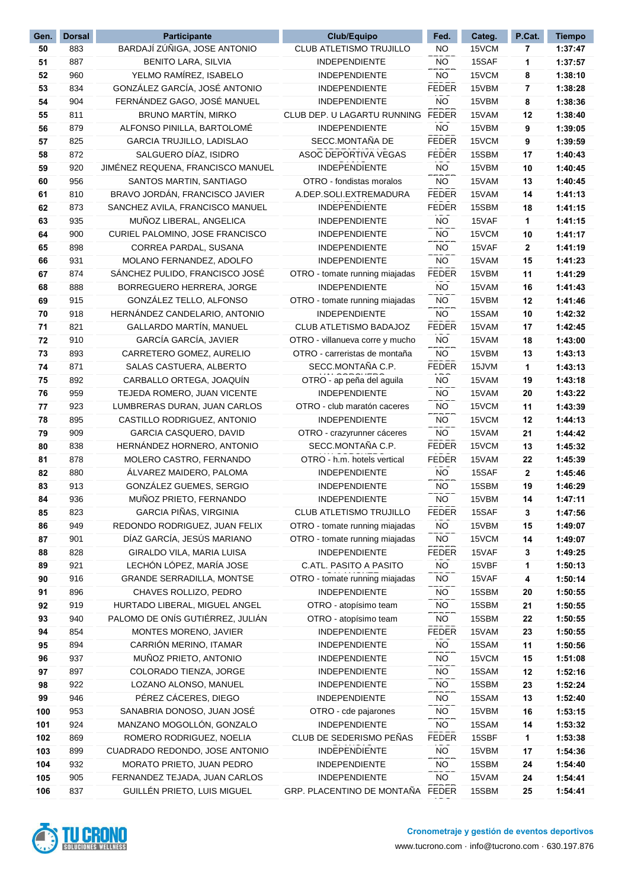| Gen. | <b>Dorsal</b> | <b>Participante</b>               | Club/Equipo                     | Fed.         | Categ. | P.Cat. | <b>Tiempo</b> |
|------|---------------|-----------------------------------|---------------------------------|--------------|--------|--------|---------------|
| 50   | 883           | BARDAJÍ ZÚÑIGA, JOSE ANTONIO      | CLUB ATLETISMO TRUJILLO         | NO.          | 15VCM  | 7      | 1:37:47       |
| 51   | 887           | <b>BENITO LARA, SILVIA</b>        | INDEPENDIENTE                   | <b>NO</b>    | 15SAF  | 1      | 1:37:57       |
| 52   | 960           | YELMO RAMÍREZ, ISABELO            | <b>INDEPENDIENTE</b>            | <b>NO</b>    | 15VCM  | 8      | 1:38:10       |
| 53   | 834           | GONZÁLEZ GARCÍA, JOSÉ ANTONIO     | <b>INDEPENDIENTE</b>            | <b>FEDER</b> | 15VBM  | 7      | 1:38:28       |
| 54   | 904           | FERNÁNDEZ GAGO, JOSÉ MANUEL       | <b>INDEPENDIENTE</b>            | <b>NO</b>    | 15VBM  | 8      | 1:38:36       |
| 55   | 811           | <b>BRUNO MARTÍN, MIRKO</b>        | CLUB DEP. U LAGARTU RUNNING     | <b>FEDER</b> | 15VAM  | 12     | 1:38:40       |
| 56   | 879           | ALFONSO PINILLA, BARTOLOMÉ        | <b>INDEPENDIENTE</b>            | NO           | 15VBM  | 9      | 1:39:05       |
| 57   | 825           | <b>GARCIA TRUJILLO, LADISLAO</b>  | SECC.MONTAÑA DE                 | <b>FEDER</b> | 15VCM  | 9      | 1:39:59       |
| 58   | 872           | SALGUERO DÍAZ, ISIDRO             | ASOC DEPORTIVA VEGAS            | <b>FEDER</b> | 15SBM  | 17     | 1:40:43       |
| 59   | 920           | JIMÉNEZ REQUENA, FRANCISCO MANUEL | <b>INDEPENDIENTE</b>            | <b>NO</b>    | 15VBM  | 10     | 1:40:45       |
| 60   | 956           | SANTOS MARTIN, SANTIAGO           | OTRO - fondistas moralos        | NO.          | 15VAM  | 13     | 1:40:45       |
| 61   | 810           | BRAVO JORDÁN, FRANCISCO JAVIER    | A.DEP.SOLI.EXTREMADURA          | <b>FEDER</b> | 15VAM  | 14     | 1:41:13       |
| 62   | 873           | SANCHEZ AVILA, FRANCISCO MANUEL   | INDEPENDIENTE                   | <b>FEDER</b> | 15SBM  | 18     | 1:41:15       |
| 63   | 935           | MUÑOZ LIBERAL, ANGELICA           | <b>INDEPENDIENTE</b>            | NO.          | 15VAF  | 1      | 1:41:15       |
| 64   | 900           | CURIEL PALOMINO, JOSE FRANCISCO   | <b>INDEPENDIENTE</b>            | NO.          | 15VCM  | 10     | 1:41:17       |
| 65   | 898           | CORREA PARDAL, SUSANA             | <b>INDEPENDIENTE</b>            | <b>NO</b>    | 15VAF  | 2      | 1:41:19       |
| 66   | 931           | MOLANO FERNANDEZ, ADOLFO          | <b>INDEPENDIENTE</b>            | NO.          | 15VAM  | 15     | 1:41:23       |
| 67   | 874           | SANCHEZ PULIDO, FRANCISCO JOSÉ    | OTRO - tomate running miajadas  | <b>FEDER</b> | 15VBM  | 11     | 1:41:29       |
| 68   | 888           | BORREGUERO HERRERA, JORGE         | <b>INDEPENDIENTE</b>            | <b>NO</b>    | 15VAM  | 16     | 1:41:43       |
| 69   | 915           | GONZÁLEZ TELLO, ALFONSO           | OTRO - tomate running miajadas  | NO.          | 15VBM  | 12     | 1:41:46       |
| 70   | 918           | HERNÁNDEZ CANDELARIO, ANTONIO     | <b>INDEPENDIENTE</b>            | NO.          | 15SAM  | 10     | 1:42:32       |
| 71   | 821           | GALLARDO MARTÍN, MANUEL           | <b>CLUB ATLETISMO BADAJOZ</b>   | <b>FEDER</b> | 15VAM  | 17     | 1:42:45       |
| 72   | 910           | GARCÍA GARCÍA, JAVIER             | OTRO - villanueva corre y mucho | <b>NO</b>    | 15VAM  | 18     | 1:43:00       |
| 73   | 893           | CARRETERO GOMEZ, AURELIO          | OTRO - carreristas de montaña   | <b>NO</b>    | 15VBM  | 13     | 1:43:13       |
| 74   | 871           | SALAS CASTUERA, ALBERTO           | SECC.MONTAÑA C.P.               | <b>FEDER</b> | 15JVM  | 1      | 1:43:13       |
| 75   | 892           | CARBALLO ORTEGA, JOAQUIN          | OTRO - ap peña del aguila       | <b>NO</b>    | 15VAM  | 19     | 1:43:18       |
| 76   | 959           | TEJEDA ROMERO, JUAN VICENTE       | <b>INDEPENDIENTE</b>            | NO.          | 15VAM  | 20     | 1:43:22       |
| 77   | 923           | LUMBRERAS DURAN, JUAN CARLOS      | OTRO - club maratón caceres     | NO.          | 15VCM  | 11     | 1:43:39       |
| 78   | 895           | CASTILLO RODRIGUEZ, ANTONIO       | <b>INDEPENDIENTE</b>            | NO.          | 15VCM  | 12     | 1:44:13       |
| 79   | 909           | GARCIA CASQUERO, DAVID            | OTRO - crazyrunner cáceres      | NO.          | 15VAM  | 21     | 1:44:42       |
| 80   | 838           | HERNÁNDEZ HORNERO, ANTONIO        | SECC.MONTAÑA C.P.               | <b>FEDER</b> | 15VCM  | 13     | 1:45:32       |
| 81   | 878           | MOLERO CASTRO, FERNANDO           | OTRO - h.m. hotels vertical     | <b>FEDER</b> | 15VAM  | 22     | 1:45:39       |
| 82   | 880           | ÁLVAREZ MAIDERO, PALOMA           | <b>INDEPENDIENTE</b>            | <b>NO</b>    | 15SAF  | 2      | 1:45:46       |
| 83   | 913           | GONZÁLEZ GUEMES, SERGIO           | <b>INDEPENDIENTE</b>            | NO.          | 15SBM  | 19     | 1:46:29       |
| 84   | 936           | MUÑOZ PRIETO, FERNANDO            | <b>INDEPENDIENTE</b>            | <b>NO</b>    | 15VBM  | 14     | 1:47:11       |
| 85   | 823           | GARCIA PIÑAS, VIRGINIA            | CLUB ATLETISMO TRUJILLO         | <b>FEDER</b> | 15SAF  | 3      | 1:47:56       |
| 86   | 949           | REDONDO RODRIGUEZ, JUAN FELIX     | OTRO - tomate running miajadas  | NO.          | 15VBM  | 15     | 1:49:07       |
| 87   | 901           | DÍAZ GARCÍA, JESÚS MARIANO        | OTRO - tomate running miajadas  | NO.          | 15VCM  | 14     | 1:49:07       |
| 88   | 828           | GIRALDO VILA, MARIA LUISA         | <b>INDEPENDIENTE</b>            | FEDER        | 15VAF  | 3      | 1:49:25       |
| 89   | 921           | LECHÓN LÓPEZ, MARÍA JOSE          | C.ATL. PASITO A PASITO          | <b>NO</b>    | 15VBF  | 1      | 1:50:13       |
| 90   | 916           | <b>GRANDE SERRADILLA, MONTSE</b>  | OTRO - tomate running miajadas  | NO           | 15VAF  | 4      | 1:50:14       |
| 91   | 896           | CHAVES ROLLIZO, PEDRO             | <b>INDEPENDIENTE</b>            | NO           | 15SBM  | 20     | 1:50:55       |
| 92   | 919           | HURTADO LIBERAL, MIGUEL ANGEL     | OTRO - atopísimo team           | NO.          | 15SBM  | 21     | 1:50:55       |
| 93   | 940           | PALOMO DE ONÍS GUTIÉRREZ, JULIÁN  | OTRO - atopísimo team           | NO.          | 15SBM  | 22     | 1:50:55       |
| 94   | 854           | MONTES MORENO, JAVIER             | <b>INDEPENDIENTE</b>            | <b>FEDER</b> | 15VAM  | 23     | 1:50:55       |
| 95   | 894           | CARRIÓN MERINO, ITAMAR            | <b>INDEPENDIENTE</b>            | <b>NO</b>    | 15SAM  | 11     | 1:50:56       |
| 96   | 937           | MUÑOZ PRIETO, ANTONIO             | <b>INDEPENDIENTE</b>            | NO.          | 15VCM  | 15     | 1:51:08       |
| 97   | 897           | COLORADO TIENZA, JORGE            | <b>INDEPENDIENTE</b>            | NO           | 15SAM  | 12     | 1:52:16       |
| 98   | 922           | LOZANO ALONSO, MANUEL             | <b>INDEPENDIENTE</b>            | NO           | 15SBM  | 23     | 1:52:24       |
| 99   | 946           | PÉREZ CÁCERES, DIEGO              | <b>INDEPENDIENTE</b>            | NO.          | 15SAM  | 13     | 1:52:40       |
| 100  | 953           | SANABRIA DONOSO, JUAN JOSÉ        | OTRO - cde pajarones            | NO.          | 15VBM  | 16     | 1:53:15       |
| 101  | 924           | MANZANO MOGOLLÓN, GONZALO         | <b>INDEPENDIENTE</b>            | <b>NO</b>    | 15SAM  | 14     | 1:53:32       |
| 102  | 869           | ROMERO RODRIGUEZ, NOELIA          | CLUB DE SEDERISMO PEÑAS         | <b>FEDER</b> | 15SBF  | 1      | 1:53:38       |
| 103  | 899           | CUADRADO REDONDO, JOSE ANTONIO    | <b>INDEPENDIENTE</b>            | $NO$         | 15VBM  | 17     | 1:54:36       |
| 104  | 932           | MORATO PRIETO, JUAN PEDRO         | INDEPENDIENTE                   | NO.          | 15SBM  | 24     | 1:54:40       |
| 105  | 905           | FERNANDEZ TEJADA, JUAN CARLOS     | <b>INDEPENDIENTE</b>            | NO.          | 15VAM  | 24     | 1:54:41       |
| 106  | 837           | GUILLÉN PRIETO, LUIS MIGUEL       | GRP. PLACENTINO DE MONTAÑA      | FEDER        | 15SBM  | 25     | 1:54:41       |
|      |               |                                   |                                 |              |        |        |               |

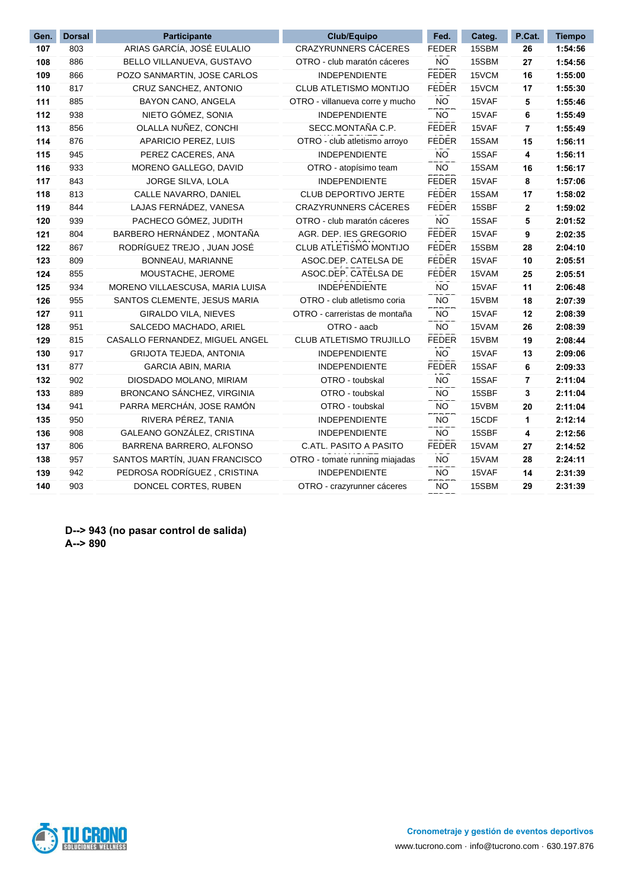| Gen. | <b>Dorsal</b> | <b>Participante</b>             | Club/Equipo                     | Fed.         | Categ. | P.Cat. | <b>Tiempo</b> |
|------|---------------|---------------------------------|---------------------------------|--------------|--------|--------|---------------|
| 107  | 803           | ARIAS GARCÍA, JOSÉ EULALIO      | CRAZYRUNNERS CÁCERES            | <b>FEDER</b> | 15SBM  | 26     | 1:54:56       |
| 108  | 886           | BELLO VILLANUEVA, GUSTAVO       | OTRO - club maratón cáceres     | <b>NO</b>    | 15SBM  | 27     | 1:54:56       |
| 109  | 866           | POZO SANMARTIN, JOSE CARLOS     | <b>INDEPENDIENTE</b>            | <b>FEDER</b> | 15VCM  | 16     | 1:55:00       |
| 110  | 817           | CRUZ SANCHEZ, ANTONIO           | CLUB ATLETISMO MONTIJO          | <b>FEDER</b> | 15VCM  | 17     | 1:55:30       |
| 111  | 885           | BAYON CANO, ANGELA              | OTRO - villanueva corre y mucho | <b>NO</b>    | 15VAF  | 5      | 1:55:46       |
| 112  | 938           | NIETO GÓMEZ, SONIA              | <b>INDEPENDIENTE</b>            | <b>NO</b>    | 15VAF  | 6      | 1:55:49       |
| 113  | 856           | OLALLA NUÑEZ, CONCHI            | SECC.MONTAÑA C.P.               | <b>FEDER</b> | 15VAF  | 7      | 1:55:49       |
| 114  | 876           | APARICIO PEREZ, LUIS            | OTRO - club atletismo arroyo    | <b>FEDER</b> | 15SAM  | 15     | 1:56:11       |
| 115  | 945           | PEREZ CACERES, ANA              | <b>INDEPENDIENTE</b>            | NO.          | 15SAF  | 4      | 1:56:11       |
| 116  | 933           | MORENO GALLEGO, DAVID           | OTRO - atopísimo team           | <b>NO</b>    | 15SAM  | 16     | 1:56:17       |
| 117  | 843           | JORGE SILVA, LOLA               | <b>INDEPENDIENTE</b>            | <b>FEDER</b> | 15VAF  | 8      | 1:57:06       |
| 118  | 813           | CALLE NAVARRO, DANIEL           | <b>CLUB DEPORTIVO JERTE</b>     | <b>FEDER</b> | 15SAM  | 17     | 1:58:02       |
| 119  | 844           | LAJAS FERNÁDEZ, VANESA          | CRAZYRUNNERS CÁCERES            | <b>FEDER</b> | 15SBF  | 2      | 1:59:02       |
| 120  | 939           | PACHECO GÓMEZ, JUDITH           | OTRO - club maratón cáceres     | <b>NO</b>    | 15SAF  | 5      | 2:01:52       |
| 121  | 804           | BARBERO HERNÁNDEZ, MONTAÑA      | AGR. DEP. IES GREGORIO          | <b>FEDER</b> | 15VAF  | 9      | 2:02:35       |
| 122  | 867           | RODRÍGUEZ TREJO, JUAN JOSÉ      | CLUB ATLETISMO MONTIJO          | <b>FEDER</b> | 15SBM  | 28     | 2:04:10       |
| 123  | 809           | BONNEAU, MARIANNE               | ASOC.DEP. CATELSA DE            | <b>FEDER</b> | 15VAF  | 10     | 2:05:51       |
| 124  | 855           | MOUSTACHE, JEROME               | ASOC.DEP. CATELSA DE            | <b>FEDER</b> | 15VAM  | 25     | 2:05:51       |
| 125  | 934           | MORENO VILLAESCUSA, MARIA LUISA | <b>INDEPENDIENTE</b>            | <b>NO</b>    | 15VAF  | 11     | 2:06:48       |
| 126  | 955           | SANTOS CLEMENTE, JESUS MARIA    | OTRO - club atletismo coria     | <b>NO</b>    | 15VBM  | 18     | 2:07:39       |
| 127  | 911           | GIRALDO VILA, NIEVES            | OTRO - carreristas de montaña   | <b>NO</b>    | 15VAF  | 12     | 2:08:39       |
| 128  | 951           | SALCEDO MACHADO, ARIEL          | OTRO - aacb                     | <b>NO</b>    | 15VAM  | 26     | 2:08:39       |
| 129  | 815           | CASALLO FERNANDEZ, MIGUEL ANGEL | CLUB ATLETISMO TRUJILLO         | <b>FEDER</b> | 15VBM  | 19     | 2:08:44       |
| 130  | 917           | <b>GRIJOTA TEJEDA, ANTONIA</b>  | <b>INDEPENDIENTE</b>            | <b>NO</b>    | 15VAF  | 13     | 2:09:06       |
| 131  | 877           | <b>GARCIA ABIN, MARIA</b>       | <b>INDEPENDIENTE</b>            | <b>FEDER</b> | 15SAF  | 6      | 2:09:33       |
| 132  | 902           | DIOSDADO MOLANO, MIRIAM         | OTRO - toubskal                 | <b>NO</b>    | 15SAF  | 7      | 2:11:04       |
| 133  | 889           | BRONCANO SÁNCHEZ, VIRGINIA      | OTRO - toubskal                 | <b>NO</b>    | 15SBF  | 3      | 2:11:04       |
| 134  | 941           | PARRA MERCHÁN, JOSE RAMÓN       | OTRO - toubskal                 | <b>NO</b>    | 15VBM  | 20     | 2:11:04       |
| 135  | 950           | RIVERA PÉREZ, TANIA             | <b>INDEPENDIENTE</b>            | <b>NO</b>    | 15CDF  | 1      | 2:12:14       |
| 136  | 908           | GALEANO GONZÁLEZ, CRISTINA      | <b>INDEPENDIENTE</b>            | <b>NO</b>    | 15SBF  | 4      | 2:12:56       |
| 137  | 806           | BARRENA BARRERO, ALFONSO        | C.ATL. PASITO A PASITO          | <b>FEDER</b> | 15VAM  | 27     | 2:14:52       |
| 138  | 957           | SANTOS MARTÍN, JUAN FRANCISCO   | OTRO - tomate running miajadas  | <b>NO</b>    | 15VAM  | 28     | 2:24:11       |
| 139  | 942           | PEDROSA RODRÍGUEZ, CRISTINA     | <b>INDEPENDIENTE</b>            | <b>NO</b>    | 15VAF  | 14     | 2:31:39       |
| 140  | 903           | DONCEL CORTES, RUBEN            | OTRO - crazyrunner cáceres      | <b>NO</b>    | 15SBM  | 29     | 2:31:39       |
|      |               |                                 |                                 |              |        |        |               |

**D--> 943 (no pasar control de salida) A--> 890** 

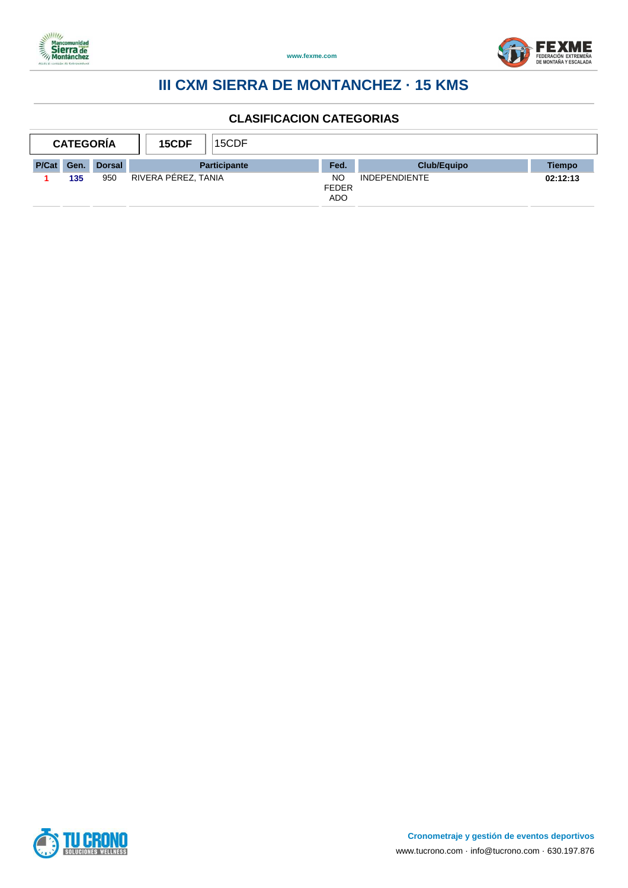



| <b>CATEGORÍA</b><br>15CDF |      |        |                     | 15CDF               |                                         |                      |          |
|---------------------------|------|--------|---------------------|---------------------|-----------------------------------------|----------------------|----------|
| <b>P/Cat</b>              | Gen. | Dorsal |                     | <b>Participante</b> | Fed.                                    | <b>Club/Equipo</b>   | Tiempo   |
|                           | 135  | 950    | RIVERA PEREZ, TANIA |                     | <b>NC</b><br><b>FEDER</b><br><b>ADO</b> | <b>INDEPENDIENTE</b> | 02:12:13 |

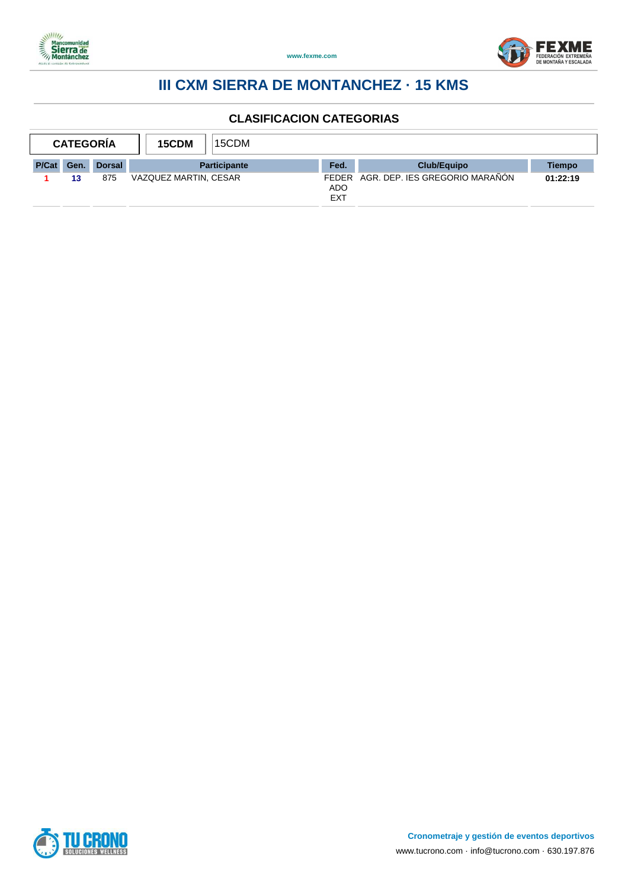



| <b>CATEGORÍA</b><br>15CDM |      |               |                       | 15CDM               |                          |                                      |          |
|---------------------------|------|---------------|-----------------------|---------------------|--------------------------|--------------------------------------|----------|
| P/Cat                     | Gen. | <b>Dorsal</b> |                       | <b>Participante</b> | Fed.                     | <b>Club/Equipo</b>                   | Tiempo   |
|                           | 13   | 875           | VAZQUEZ MARTIN, CESAR |                     | <b>ADO</b><br><b>EXT</b> | FEDER AGR. DEP. IES GREGORIO MARAÑÓN | 01:22:19 |

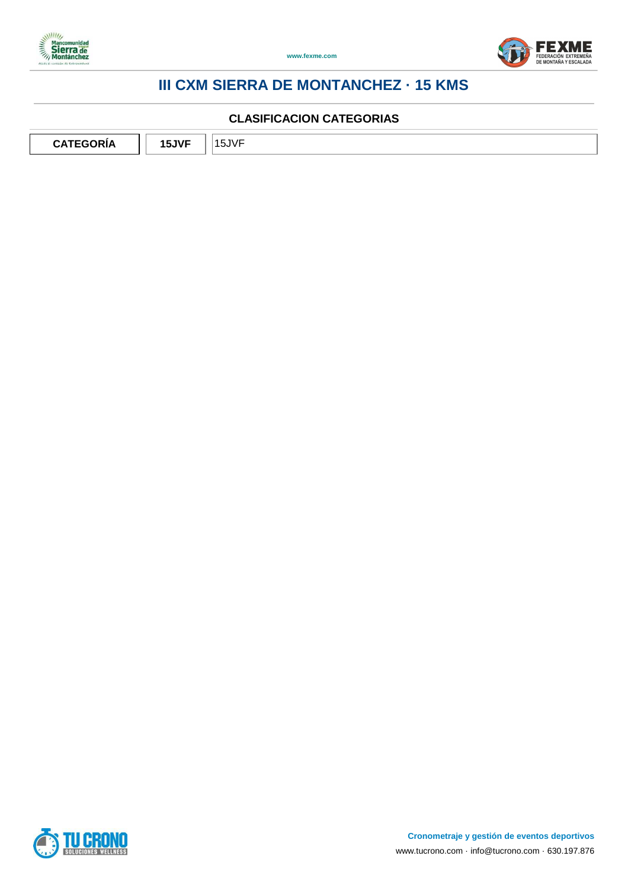



#### **CLASIFICACION CATEGORIAS**

**CATEGORÍA 15JVF** 15JVF

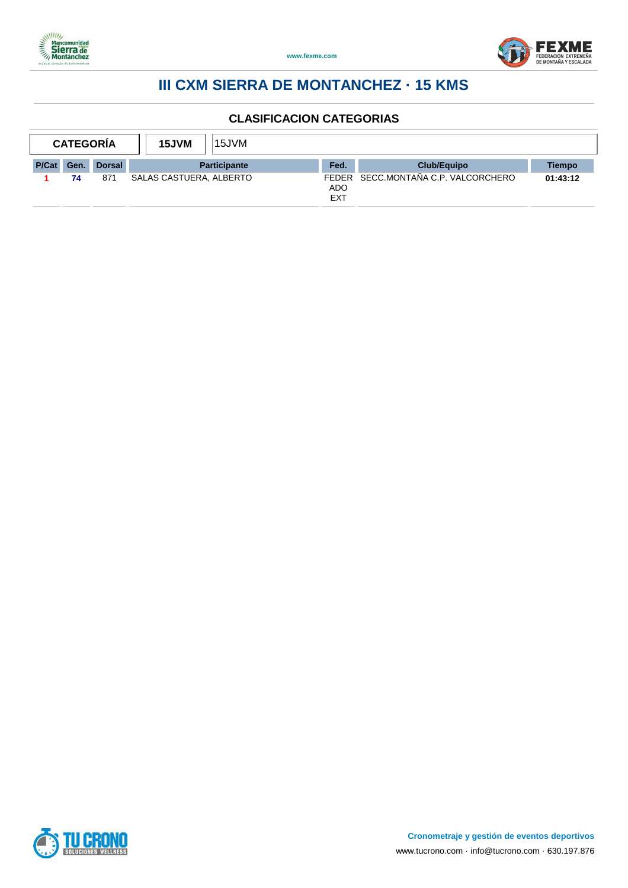



| <b>CATEGORÍA</b><br>15JVM |      | 15JVM         |                         |                     |                   |                                     |          |
|---------------------------|------|---------------|-------------------------|---------------------|-------------------|-------------------------------------|----------|
| P/Cat                     | Gen. | <b>Dorsal</b> |                         | <b>Participante</b> | Fed.              | Club/Equipo                         | Tiempo   |
|                           | 74   | 871           | SALAS CASTUERA, ALBERTO |                     | <b>ADO</b><br>EXT | FEDER SECC.MONTAÑA C.P. VALCORCHERO | 01:43:12 |

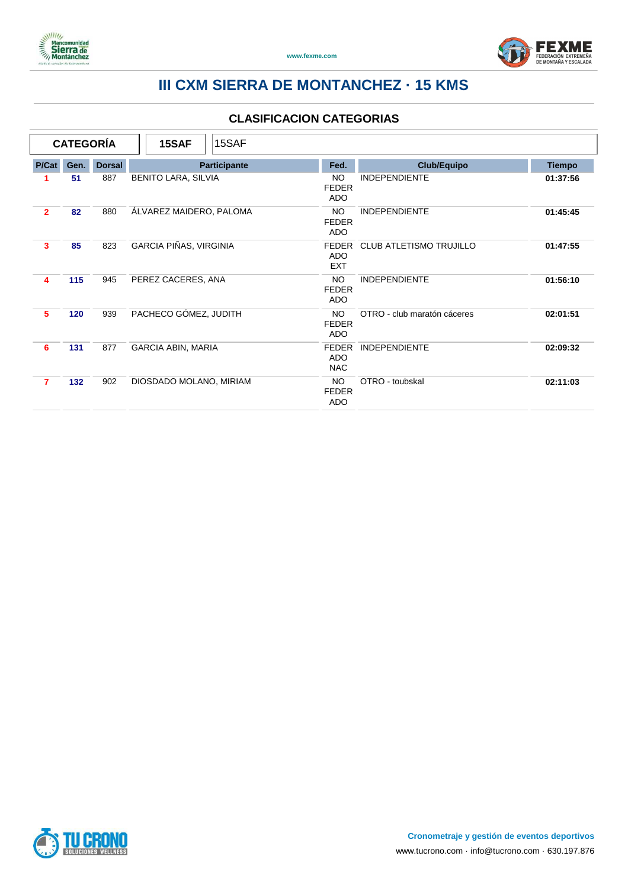



|                | <b>CATEGORÍA</b> |               | 15SAF                         | 15SAF |                                          |                                |               |
|----------------|------------------|---------------|-------------------------------|-------|------------------------------------------|--------------------------------|---------------|
| P/Cat          | Gen.             | <b>Dorsal</b> | Participante                  |       | Fed.                                     | <b>Club/Equipo</b>             | <b>Tiempo</b> |
|                | 51               | 887           | <b>BENITO LARA, SILVIA</b>    |       | <b>NO</b><br><b>FEDER</b><br><b>ADO</b>  | <b>INDEPENDIENTE</b>           | 01:37:56      |
| $\overline{2}$ | 82               | 880           | ÁLVAREZ MAIDERO, PALOMA       |       | NO.<br><b>FEDER</b><br><b>ADO</b>        | <b>INDEPENDIENTE</b>           | 01:45:45      |
| 3              | 85               | 823           | <b>GARCIA PIÑAS, VIRGINIA</b> |       | <b>FFDFR</b><br><b>ADO</b><br><b>EXT</b> | <b>CLUB ATLETISMO TRUJILLO</b> | 01:47:55      |
| 4              | 115              | 945           | PEREZ CACERES, ANA            |       | NO.<br><b>FEDER</b><br><b>ADO</b>        | <b>INDEPENDIENTE</b>           | 01:56:10      |
| 5              | 120              | 939           | PACHECO GÓMEZ, JUDITH         |       | <b>NO</b><br><b>FEDER</b><br><b>ADO</b>  | OTRO - club maratón cáceres    | 02:01:51      |
| 6              | 131              | 877           | <b>GARCIA ABIN, MARIA</b>     |       | <b>FEDER</b><br><b>ADO</b><br><b>NAC</b> | <b>INDEPENDIENTE</b>           | 02:09:32      |
| 7              | 132              | 902           | DIOSDADO MOLANO, MIRIAM       |       | NO.<br><b>FEDER</b><br>ADO               | OTRO - toubskal                | 02:11:03      |

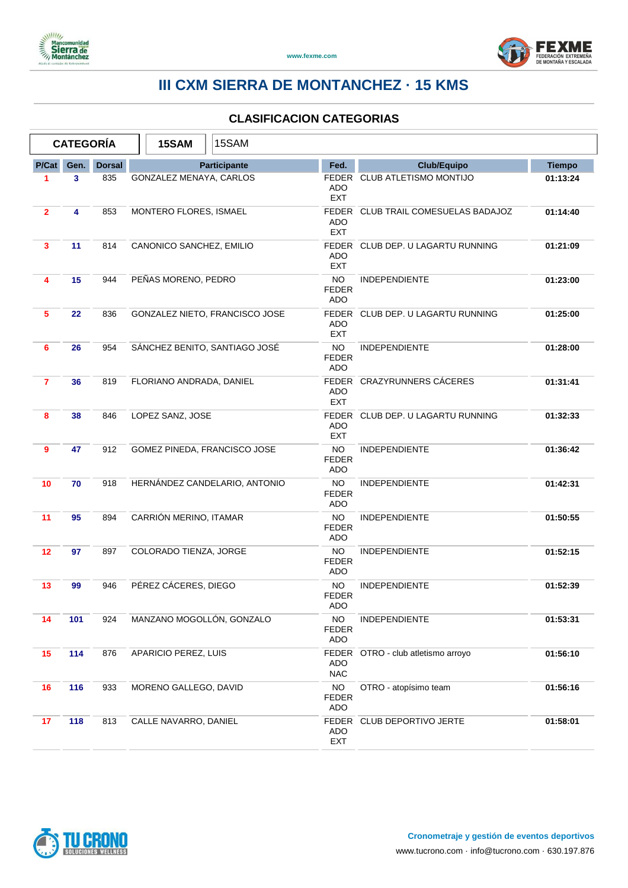



|                |      | <b>CATEGORÍA</b> | 15SAM                        | 15SAM                          |                                         |                                     |               |
|----------------|------|------------------|------------------------------|--------------------------------|-----------------------------------------|-------------------------------------|---------------|
| P/Cat          | Gen. | <b>Dorsal</b>    |                              | Participante                   | Fed.                                    | <b>Club/Equipo</b>                  | <b>Tiempo</b> |
| 1              | 3    | 835              | GONZALEZ MENAYA, CARLOS      |                                | ADO<br><b>EXT</b>                       | FEDER CLUB ATLETISMO MONTIJO        | 01:13:24      |
| $\overline{2}$ | 4    | 853              | MONTERO FLORES, ISMAEL       |                                | <b>ADO</b><br><b>EXT</b>                | FEDER CLUB TRAIL COMESUELAS BADAJOZ | 01:14:40      |
| 3              | 11   | 814              | CANONICO SANCHEZ, EMILIO     |                                | <b>ADO</b><br><b>EXT</b>                | FEDER CLUB DEP. U LAGARTU RUNNING   | 01:21:09      |
| 4              | 15   | 944              | PEÑAS MORENO, PEDRO          |                                | <b>NO</b><br><b>FEDER</b><br><b>ADO</b> | <b>INDEPENDIENTE</b>                | 01:23:00      |
| 5              | 22   | 836              |                              | GONZALEZ NIETO, FRANCISCO JOSE | ADO<br><b>EXT</b>                       | FEDER CLUB DEP. U LAGARTU RUNNING   | 01:25:00      |
| 6              | 26   | 954              |                              | SÁNCHEZ BENITO, SANTIAGO JOSÉ  | <b>NO</b><br><b>FEDER</b><br><b>ADO</b> | <b>INDEPENDIENTE</b>                | 01:28:00      |
| $\overline{7}$ | 36   | 819              | FLORIANO ANDRADA, DANIEL     |                                | <b>ADO</b><br><b>EXT</b>                | FEDER CRAZYRUNNERS CÁCERES          | 01:31:41      |
| 8              | 38   | 846              | LOPEZ SANZ, JOSE             |                                | ADO<br><b>EXT</b>                       | FEDER CLUB DEP. U LAGARTU RUNNING   | 01:32:33      |
| 9              | 47   | 912              | GOMEZ PINEDA, FRANCISCO JOSE |                                | <b>NO</b><br><b>FEDER</b><br><b>ADO</b> | <b>INDEPENDIENTE</b>                | 01:36:42      |
| 10             | 70   | 918              |                              | HERNÁNDEZ CANDELARIO, ANTONIO  | NO.<br><b>FEDER</b><br><b>ADO</b>       | <b>INDEPENDIENTE</b>                | 01:42:31      |
| 11             | 95   | 894              | CARRIÓN MERINO, ITAMAR       |                                | <b>NO</b><br><b>FEDER</b><br><b>ADO</b> | <b>INDEPENDIENTE</b>                | 01:50:55      |
| 12             | 97   | 897              | COLORADO TIENZA, JORGE       |                                | <b>NO</b><br><b>FEDER</b><br><b>ADO</b> | <b>INDEPENDIENTE</b>                | 01:52:15      |
| 13             | 99   | 946              | PÉREZ CÁCERES, DIEGO         |                                | NO.<br><b>FEDER</b><br>ADO              | <b>INDEPENDIENTE</b>                | 01:52:39      |
| 14             | 101  | 924              |                              | MANZANO MOGOLLÓN, GONZALO      | <b>NO</b><br>FEDER<br>ADO               | INDEPENDIENTE                       | 01:53:31      |
| 15             | 114  | 876              | APARICIO PEREZ, LUIS         |                                | FEDER<br><b>ADO</b><br><b>NAC</b>       | OTRO - club atletismo arroyo        | 01:56:10      |
| 16             | 116  | 933              | MORENO GALLEGO, DAVID        |                                | <b>NO</b><br><b>FEDER</b><br>ADO        | OTRO - atopísimo team               | 01:56:16      |
| 17             | 118  | 813              | CALLE NAVARRO, DANIEL        |                                | <b>ADO</b><br>EXT                       | FEDER CLUB DEPORTIVO JERTE          | 01:58:01      |

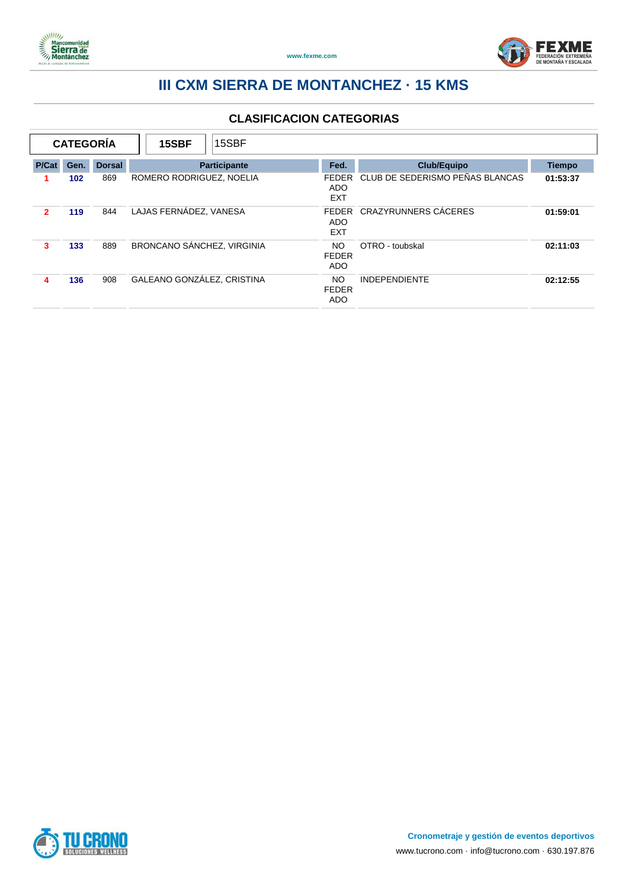



|       | <b>CATEGORÍA</b> |               | 15SBF                      | 15SBF        |                                          |                                 |               |
|-------|------------------|---------------|----------------------------|--------------|------------------------------------------|---------------------------------|---------------|
| P/Cat | Gen.             | <b>Dorsal</b> |                            | Participante | Fed.                                     | <b>Club/Equipo</b>              | <b>Tiempo</b> |
|       | 102              | 869           | ROMERO RODRIGUEZ, NOELIA   |              | <b>FFDFR</b><br><b>ADO</b><br><b>EXT</b> | CLUB DE SEDERISMO PEÑAS BLANCAS | 01:53:37      |
| 2     | 119              | 844           | LAJAS FERNÁDEZ. VANESA     |              | <b>FEDER</b><br>ADO<br><b>EXT</b>        | CRAZYRUNNERS CÁCERES            | 01:59:01      |
| 3     | 133              | 889           | BRONCANO SÁNCHEZ, VIRGINIA |              | <b>NO</b><br><b>FEDER</b><br><b>ADO</b>  | OTRO - toubskal                 | 02:11:03      |
| 4     | 136              | 908           | GALEANO GONZÁLEZ, CRISTINA |              | <b>NO</b><br><b>FEDER</b><br>ADO         | <b>INDEPENDIENTE</b>            | 02:12:55      |

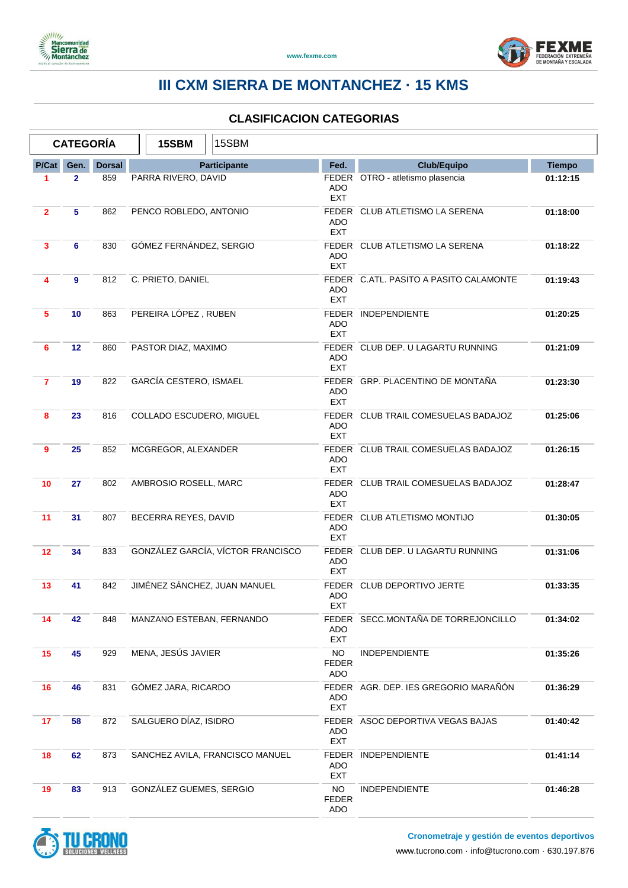



|                | <b>CATEGORÍA</b> |               | 15SBM                        | 15SBM                             |                                  |                                        |               |
|----------------|------------------|---------------|------------------------------|-----------------------------------|----------------------------------|----------------------------------------|---------------|
| P/Cat          | Gen.             | <b>Dorsal</b> |                              | <b>Participante</b>               | Fed.                             | <b>Club/Equipo</b>                     | <b>Tiempo</b> |
| 1              | $\mathbf{2}$     | 859           | PARRA RIVERO, DAVID          |                                   | <b>ADO</b><br><b>EXT</b>         | FEDER OTRO - atletismo plasencia       | 01:12:15      |
| $\overline{2}$ | 5                | 862           | PENCO ROBLEDO, ANTONIO       |                                   | ADO<br><b>EXT</b>                | FEDER CLUB ATLETISMO LA SERENA         | 01:18:00      |
| 3              | 6                | 830           | GÓMEZ FERNÁNDEZ, SERGIO      |                                   | <b>ADO</b><br><b>EXT</b>         | FEDER CLUB ATLETISMO LA SERENA         | 01:18:22      |
| 4              | 9                | 812           | C. PRIETO, DANIEL            |                                   | <b>ADO</b><br><b>EXT</b>         | FEDER C.ATL. PASITO A PASITO CALAMONTE | 01:19:43      |
| 5              | 10               | 863           | PEREIRA LÓPEZ, RUBEN         |                                   | ADO<br><b>EXT</b>                | FEDER INDEPENDIENTE                    | 01:20:25      |
| 6              | 12               | 860           | PASTOR DIAZ, MAXIMO          |                                   | ADO<br><b>EXT</b>                | FEDER CLUB DEP. U LAGARTU RUNNING      | 01:21:09      |
| $\overline{7}$ | 19               | 822           | GARCÍA CESTERO, ISMAEL       |                                   | <b>ADO</b><br><b>EXT</b>         | FEDER GRP. PLACENTINO DE MONTAÑA       | 01:23:30      |
| 8              | 23               | 816           | COLLADO ESCUDERO, MIGUEL     |                                   | <b>ADO</b><br><b>EXT</b>         | FEDER CLUB TRAIL COMESUELAS BADAJOZ    | 01:25:06      |
| 9              | 25               | 852           | MCGREGOR, ALEXANDER          |                                   | ADO<br><b>EXT</b>                | FEDER CLUB TRAIL COMESUELAS BADAJOZ    | 01:26:15      |
| 10             | 27               | 802           | AMBROSIO ROSELL, MARC        |                                   | <b>ADO</b><br><b>EXT</b>         | FEDER CLUB TRAIL COMESUELAS BADAJOZ    | 01:28:47      |
| 11             | 31               | 807           | BECERRA REYES, DAVID         |                                   | ADO<br><b>EXT</b>                | FEDER CLUB ATLETISMO MONTIJO           | 01:30:05      |
| 12             | 34               | 833           |                              | GONZÁLEZ GARCÍA, VÍCTOR FRANCISCO | ADO<br><b>EXT</b>                | FEDER CLUB DEP. U LAGARTU RUNNING      | 01:31:06      |
| 13             | 41               | 842           | JIMÉNEZ SÁNCHEZ, JUAN MANUEL |                                   | <b>ADO</b><br><b>EXT</b>         | FEDER CLUB DEPORTIVO JERTE             | 01:33:35      |
| 14             | 42               | 848           | MANZANO ESTEBAN, FERNANDO    |                                   | ADO<br>EXT                       | FEDER SECC.MONTAÑA DE TORREJONCILLO    | 01:34:02      |
| 15             | 45               | 929           | MENA, JESÚS JAVIER           |                                   | <b>NO</b><br><b>FEDER</b><br>ADO | <b>INDEPENDIENTE</b>                   | 01:35:26      |
| 16             | 46               | 831           | GÓMEZ JARA, RICARDO          |                                   | ADO<br>EXT                       | FEDER AGR. DEP. IES GREGORIO MARAÑÓN   | 01:36:29      |
| 17             | 58               | 872           | SALGUERO DÍAZ, ISIDRO        |                                   | ADO.<br><b>EXT</b>               | FEDER ASOC DEPORTIVA VEGAS BAJAS       | 01:40:42      |
| 18             | 62               | 873           |                              | SANCHEZ AVILA, FRANCISCO MANUEL   | ADO<br>EXT                       | FEDER INDEPENDIENTE                    | 01:41:14      |
| 19             | 83               | 913           | GONZÁLEZ GUEMES, SERGIO      |                                   | <b>NO</b><br><b>FEDER</b><br>ADO | <b>INDEPENDIENTE</b>                   | 01:46:28      |

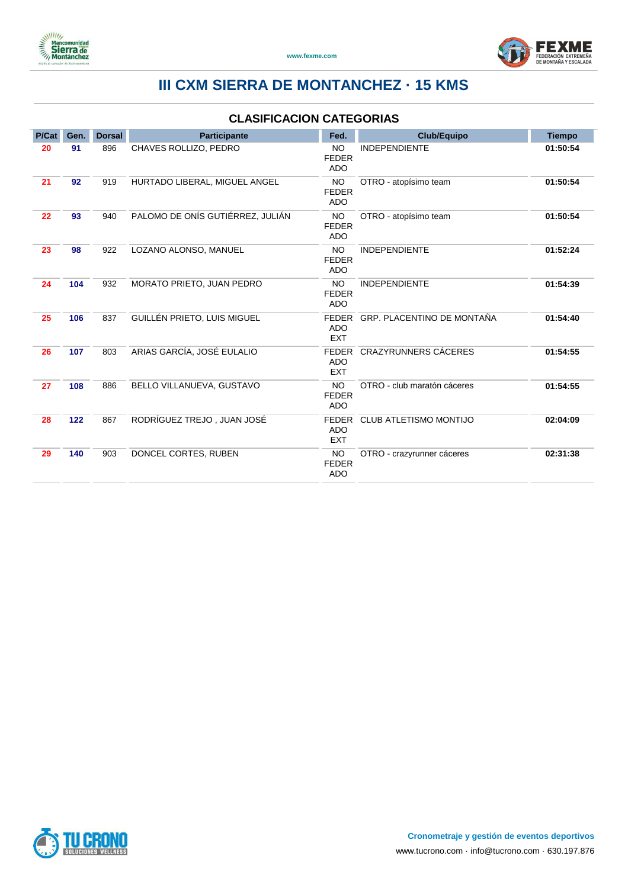



| P/Cat | Gen.  | <b>Dorsal</b> | <b>Participante</b>              | Fed.                                     | <b>Club/Equipo</b>            | <b>Tiempo</b> |
|-------|-------|---------------|----------------------------------|------------------------------------------|-------------------------------|---------------|
| 20    | 91    | 896           | CHAVES ROLLIZO, PEDRO            | <b>NO</b><br><b>FEDER</b><br><b>ADO</b>  | <b>INDEPENDIENTE</b>          | 01:50:54      |
| 21    | 92    | 919           | HURTADO LIBERAL, MIGUEL ANGEL    | <b>NO</b><br><b>FEDER</b><br><b>ADO</b>  | OTRO - atopísimo team         | 01:50:54      |
| 22    | 93    | 940           | PALOMO DE ONÍS GUTIÉRREZ, JULIÁN | <b>NO</b><br><b>FEDER</b><br><b>ADO</b>  | OTRO - atopísimo team         | 01:50:54      |
| 23    | 98    | 922           | LOZANO ALONSO, MANUEL            | <b>NO</b><br><b>FEDER</b><br><b>ADO</b>  | <b>INDEPENDIENTE</b>          | 01:52:24      |
| 24    | 104   | 932           | MORATO PRIETO, JUAN PEDRO        | <b>NO</b><br><b>FEDER</b><br><b>ADO</b>  | <b>INDEPENDIENTE</b>          | 01:54:39      |
| 25    | 106   | 837           | GUILLÉN PRIETO, LUIS MIGUEL      | <b>FEDER</b><br><b>ADO</b><br><b>EXT</b> | GRP. PLACENTINO DE MONTAÑA    | 01:54:40      |
| 26    | 107   | 803           | ARIAS GARCÍA, JOSÉ EULALIO       | <b>FEDER</b><br><b>ADO</b><br><b>EXT</b> | CRAZYRUNNERS CÁCERES          | 01:54:55      |
| 27    | 108   | 886           | BELLO VILLANUEVA, GUSTAVO        | NO<br><b>FEDER</b><br><b>ADO</b>         | OTRO - club maratón cáceres   | 01:54:55      |
| 28    | $122$ | 867           | RODRÍGUEZ TREJO, JUAN JOSÉ       | <b>FEDER</b><br><b>ADO</b><br><b>EXT</b> | <b>CLUB ATLETISMO MONTIJO</b> | 02:04:09      |
| 29    | 140   | 903           | DONCEL CORTES, RUBEN             | <b>NO</b><br><b>FEDER</b><br><b>ADO</b>  | OTRO - crazyrunner cáceres    | 02:31:38      |

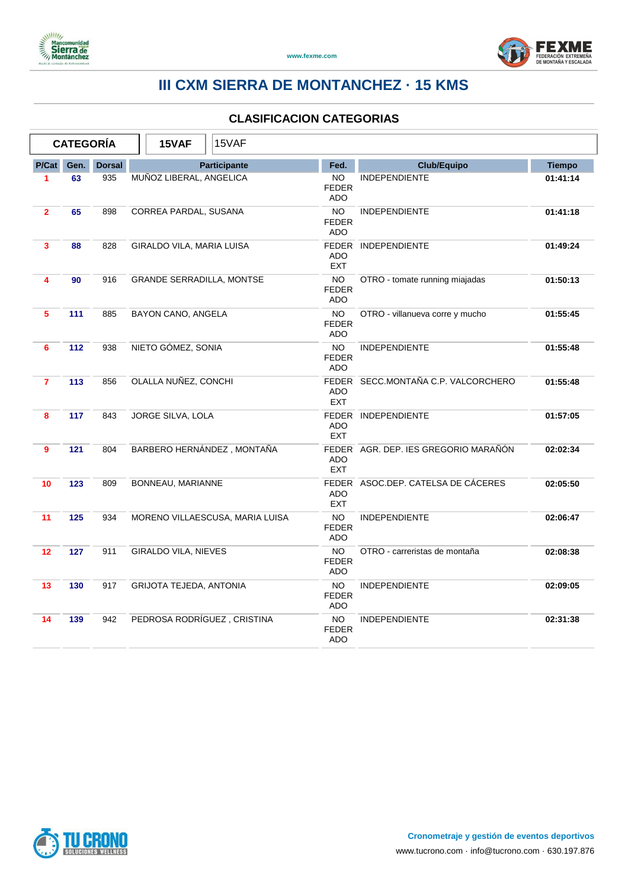



|                         | <b>CATEGORÍA</b> |               | 15VAF<br>15VAF                   |                                         |                                      |               |
|-------------------------|------------------|---------------|----------------------------------|-----------------------------------------|--------------------------------------|---------------|
| P/Cat                   | Gen.             | <b>Dorsal</b> | Participante                     | Fed.                                    | <b>Club/Equipo</b>                   | <b>Tiempo</b> |
| 1                       | 63               | 935           | MUÑOZ LIBERAL, ANGELICA          | <b>NO</b><br><b>FEDER</b><br><b>ADO</b> | <b>INDEPENDIENTE</b>                 | 01:41:14      |
| $\overline{2}$          | 65               | 898           | CORREA PARDAL, SUSANA            | NO.<br><b>FEDER</b><br><b>ADO</b>       | <b>INDEPENDIENTE</b>                 | 01:41:18      |
| 3                       | 88               | 828           | GIRALDO VILA, MARIA LUISA        | <b>ADO</b><br><b>EXT</b>                | FEDER INDEPENDIENTE                  | 01:49:24      |
| $\overline{\mathbf{4}}$ | 90               | 916           | <b>GRANDE SERRADILLA, MONTSE</b> | NO.<br><b>FEDER</b><br><b>ADO</b>       | OTRO - tomate running miajadas       | 01:50:13      |
| 5                       | 111              | 885           | BAYON CANO, ANGELA               | <b>NO</b><br><b>FEDER</b><br><b>ADO</b> | OTRO - villanueva corre y mucho      | 01:55:45      |
| 6                       | $112$            | 938           | NIETO GÓMEZ, SONIA               | <b>NO</b><br><b>FEDER</b><br><b>ADO</b> | <b>INDEPENDIENTE</b>                 | 01:55:48      |
| $\overline{7}$          | 113              | 856           | OLALLA NUÑEZ, CONCHI             | <b>ADO</b><br><b>EXT</b>                | FEDER SECC.MONTAÑA C.P. VALCORCHERO  | 01:55:48      |
| 8                       | 117              | 843           | JORGE SILVA, LOLA                | <b>ADO</b><br><b>EXT</b>                | FEDER INDEPENDIENTE                  | 01:57:05      |
| 9                       | 121              | 804           | BARBERO HERNÁNDEZ, MONTAÑA       | <b>ADO</b><br><b>EXT</b>                | FEDER AGR. DEP. IES GREGORIO MARAÑÓN | 02:02:34      |
| 10                      | 123              | 809           | BONNEAU, MARIANNE                | <b>ADO</b><br><b>EXT</b>                | FEDER ASOC.DEP. CATELSA DE CÁCERES   | 02:05:50      |
| 11                      | 125              | 934           | MORENO VILLAESCUSA, MARIA LUISA  | <b>NO</b><br><b>FEDER</b><br><b>ADO</b> | <b>INDEPENDIENTE</b>                 | 02:06:47      |
| 12                      | 127              | 911           | GIRALDO VILA, NIEVES             | NO<br><b>FEDER</b><br><b>ADO</b>        | OTRO - carreristas de montaña        | 02:08:38      |
| 13                      | 130              | 917           | GRIJOTA TEJEDA, ANTONIA          | <b>NO</b><br><b>FEDER</b><br><b>ADO</b> | <b>INDEPENDIENTE</b>                 | 02:09:05      |
| 14                      | 139              | 942           | PEDROSA RODRÍGUEZ, CRISTINA      | <b>NO</b><br><b>FEDER</b><br><b>ADO</b> | <b>INDEPENDIENTE</b>                 | 02:31:38      |

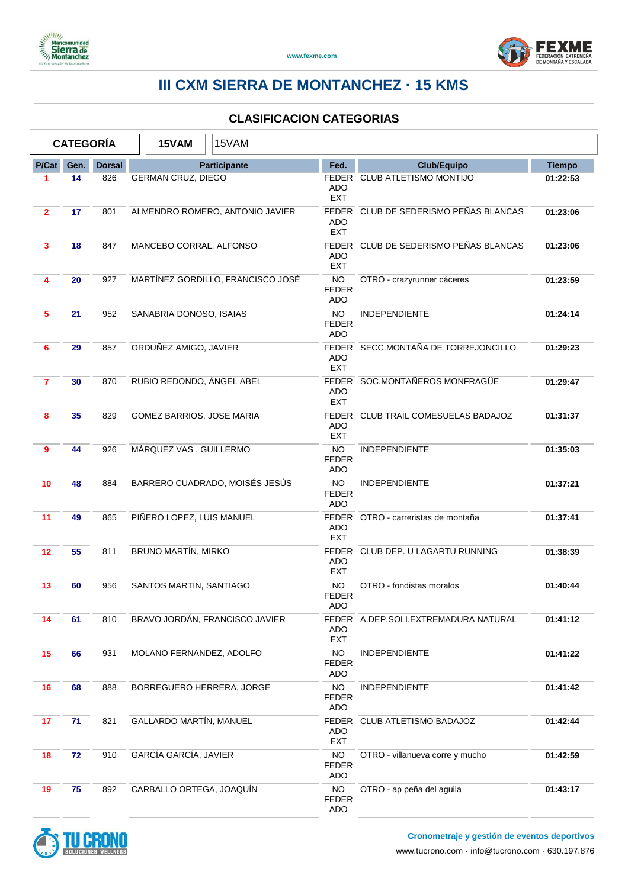



|                | <b>CATEGORÍA</b> |               | 15VAM                           | 15VAM                             |                                         |                                       |               |
|----------------|------------------|---------------|---------------------------------|-----------------------------------|-----------------------------------------|---------------------------------------|---------------|
| P/Cat          | Gen.             | <b>Dorsal</b> | Participante                    |                                   | Fed.                                    | <b>Club/Equipo</b>                    | <b>Tiempo</b> |
| 1              | 14               | 826           | <b>GERMAN CRUZ, DIEGO</b>       |                                   | ADO<br><b>EXT</b>                       | FEDER CLUB ATLETISMO MONTIJO          | 01:22:53      |
| $\mathbf{2}$   | 17               | 801           | ALMENDRO ROMERO, ANTONIO JAVIER |                                   |                                         | FEDER CLUB DE SEDERISMO PEÑAS BLANCAS | 01:23:06      |
| 3              | 18               | 847           | MANCEBO CORRAL, ALFONSO         |                                   | ADO<br><b>EXT</b>                       | FEDER CLUB DE SEDERISMO PEÑAS BLANCAS | 01:23:06      |
| 4              | 20               | 927           |                                 | MARTÍNEZ GORDILLO, FRANCISCO JOSÉ | <b>NO</b><br><b>FEDER</b><br><b>ADO</b> | OTRO - crazyrunner cáceres            | 01:23:59      |
| 5              | 21               | 952           | SANABRIA DONOSO, ISAIAS         |                                   | <b>NO</b><br><b>FEDER</b><br><b>ADO</b> | <b>INDEPENDIENTE</b>                  | 01:24:14      |
| 6              | 29               | 857           | ORDUÑEZ AMIGO, JAVIER           |                                   | <b>ADO</b><br><b>EXT</b>                | FEDER SECC.MONTAÑA DE TORREJONCILLO   | 01:29:23      |
| $\overline{7}$ | 30               | 870           | RUBIO REDONDO, ÁNGEL ABEL       |                                   | <b>ADO</b><br><b>EXT</b>                | FEDER SOC.MONTAÑEROS MONFRAGÜE        | 01:29:47      |
| 8              | 35               | 829           | GOMEZ BARRIOS, JOSE MARIA       |                                   | ADO<br><b>EXT</b>                       | FEDER CLUB TRAIL COMESUELAS BADAJOZ   | 01:31:37      |
| 9              | 44               | 926           | MÁRQUEZ VAS, GUILLERMO          |                                   | <b>NO</b><br><b>FEDER</b><br><b>ADO</b> | <b>INDEPENDIENTE</b>                  | 01:35:03      |
| 10             | 48               | 884           | BARRERO CUADRADO, MOISÉS JESÚS  |                                   | NO.<br><b>FEDER</b><br>ADO              | INDEPENDIENTE                         | 01:37:21      |
| 11             | 49               | 865           | PIÑERO LOPEZ, LUIS MANUEL       |                                   | <b>ADO</b><br><b>EXT</b>                | FEDER OTRO - carreristas de montaña   | 01:37:41      |
| 12             | 55               | 811           | BRUNO MARTÍN, MIRKO             |                                   | ADO<br><b>EXT</b>                       | FEDER CLUB DEP. U LAGARTU RUNNING     | 01:38:39      |
| 13             | 60               | 956           | SANTOS MARTIN, SANTIAGO         |                                   | NO.<br><b>FEDER</b><br>ADO              | OTRO - fondistas moralos              | 01:40:44      |
| 14             | 61               | 810           | BRAVO JORDÁN, FRANCISCO JAVIER  |                                   | ADO<br>EXT                              | FEDER A.DEP.SOLI.EXTREMADURA NATURAL  | 01:41:12      |
| 15             | 66               | 931           | MOLANO FERNANDEZ, ADOLFO        |                                   | <b>NO</b><br><b>FEDER</b><br>ADO        | <b>INDEPENDIENTE</b>                  | 01:41:22      |
| 16             | 68               | 888           | BORREGUERO HERRERA, JORGE       |                                   | <b>NO</b><br><b>FEDER</b><br>ADO        | <b>INDEPENDIENTE</b>                  | 01:41:42      |
| 17             | 71               | 821           | <b>GALLARDO MARTÍN, MANUEL</b>  |                                   | ADO<br><b>EXT</b>                       | FEDER CLUB ATLETISMO BADAJOZ          | 01:42:44      |
| 18             | 72               | 910           | GARCÍA GARCÍA, JAVIER           |                                   | <b>NO</b><br><b>FEDER</b><br>ADO        | OTRO - villanueva corre y mucho       | 01:42:59      |
| 19             | 75               | 892           | CARBALLO ORTEGA, JOAQUÍN        |                                   | <b>NO</b><br><b>FEDER</b><br>ADO        | OTRO - ap peña del aguila             | 01:43:17      |

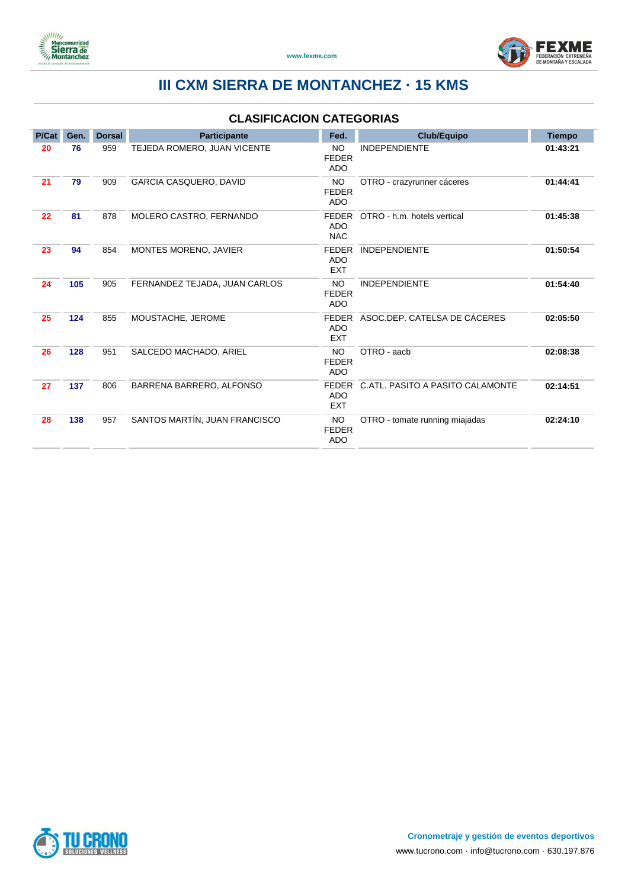



| P/Cat | Gen. | <b>Dorsal</b> | Participante                  | Fed.                                     | <b>Club/Equipo</b>               | <b>Tiempo</b> |
|-------|------|---------------|-------------------------------|------------------------------------------|----------------------------------|---------------|
| 20    | 76   | 959           | TEJEDA ROMERO, JUAN VICENTE   | <b>NO</b><br><b>FEDER</b><br><b>ADO</b>  | <b>INDEPENDIENTE</b>             | 01:43:21      |
| 21    | 79   | 909           | GARCIA CASQUERO, DAVID        | <b>NO</b><br><b>FEDER</b><br><b>ADO</b>  | OTRO - crazyrunner cáceres       | 01:44:41      |
| 22    | 81   | 878           | MOLERO CASTRO, FERNANDO       | FEDER<br><b>ADO</b><br><b>NAC</b>        | OTRO - h.m. hotels vertical      | 01:45:38      |
| 23    | 94   | 854           | MONTES MORENO, JAVIER         | <b>FEDER</b><br><b>ADO</b><br><b>EXT</b> | <b>INDEPENDIENTE</b>             | 01:50:54      |
| 24    | 105  | 905           | FERNANDEZ TEJADA, JUAN CARLOS | <b>NO</b><br><b>FEDER</b><br><b>ADO</b>  | <b>INDEPENDIENTE</b>             | 01:54:40      |
| 25    | 124  | 855           | MOUSTACHE, JEROME             | FEDER<br><b>ADO</b><br><b>EXT</b>        | ASOC.DEP. CATELSA DE CÁCERES     | 02:05:50      |
| 26    | 128  | 951           | SALCEDO MACHADO, ARIEL        | <b>NO</b><br><b>FEDER</b><br><b>ADO</b>  | OTRO - aach                      | 02:08:38      |
| 27    | 137  | 806           | BARRENA BARRERO, ALFONSO      | FEDER<br><b>ADO</b><br><b>EXT</b>        | C.ATL. PASITO A PASITO CALAMONTE | 02:14:51      |
| 28    | 138  | 957           | SANTOS MARTÍN, JUAN FRANCISCO | <b>NO</b><br><b>FEDER</b><br><b>ADO</b>  | OTRO - tomate running miajadas   | 02:24:10      |

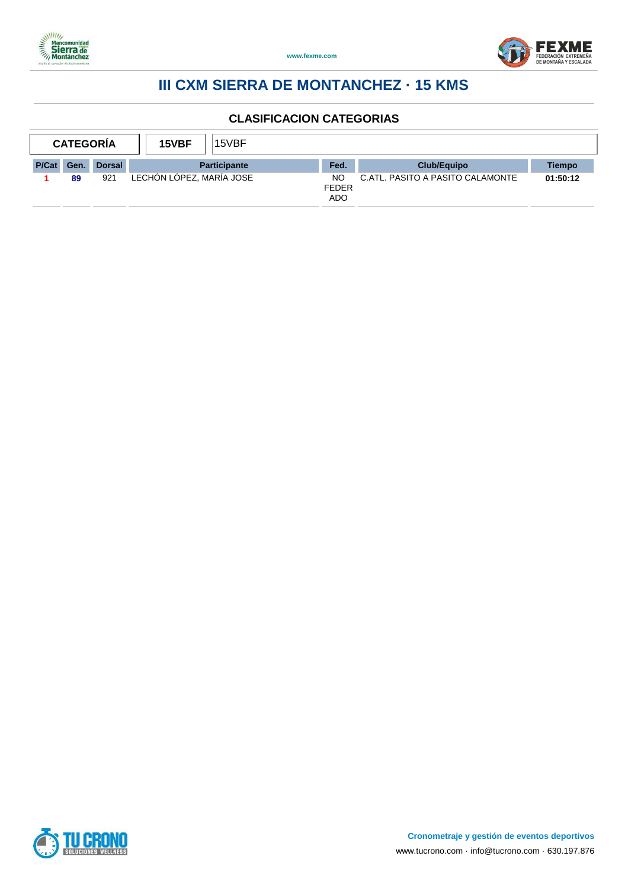



| <b>CATEGORIA</b> |      |               | 15VBF                    | 15VBF               |                                         |                                  |          |
|------------------|------|---------------|--------------------------|---------------------|-----------------------------------------|----------------------------------|----------|
| <b>P/Cat</b>     | Gen. | <b>Dorsal</b> |                          | <b>Participante</b> | Fed.                                    | Club/Equipo                      | Tiempo   |
|                  | 89   | 921           | LECHON LOPEZ, MARÍA JOSE |                     | <b>NO</b><br><b>FEDER</b><br><b>ADO</b> | C.ATL. PASITO A PASITO CALAMONTE | 01:50:12 |

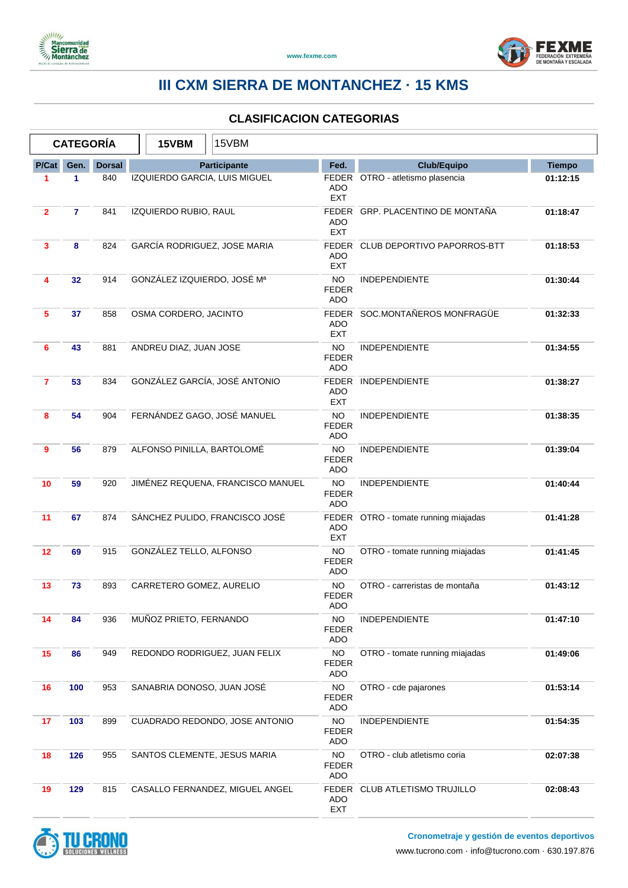



| <b>CATEGORÍA</b>        |                |               | 15VBM                             | 15VBM                  |                                 |                                         |                                      |               |
|-------------------------|----------------|---------------|-----------------------------------|------------------------|---------------------------------|-----------------------------------------|--------------------------------------|---------------|
| P/Cat                   | Gen.           | <b>Dorsal</b> |                                   |                        | Participante                    | Fed.                                    | <b>Club/Equipo</b>                   | <b>Tiempo</b> |
| 1                       | 1              | 840           |                                   |                        | IZQUIERDO GARCIA, LUIS MIGUEL   | ADO<br><b>EXT</b>                       | FEDER OTRO - atletismo plasencia     | 01:12:15      |
| $\mathbf{2}$            | $\overline{7}$ | 841           | IZQUIERDO RUBIO, RAUL             |                        |                                 | ADO<br><b>EXT</b>                       | FEDER GRP. PLACENTINO DE MONTAÑA     | 01:18:47      |
| 3                       | 8              | 824           | GARCÍA RODRIGUEZ, JOSE MARIA      |                        |                                 | ADO<br><b>EXT</b>                       | FEDER CLUB DEPORTIVO PAPORROS-BTT    | 01:18:53      |
| $\overline{\mathbf{4}}$ | 32             | 914           | GONZÁLEZ IZQUIERDO, JOSÉ Mª       |                        |                                 | NO.<br><b>FEDER</b><br><b>ADO</b>       | <b>INDEPENDIENTE</b>                 | 01:30:44      |
| 5                       | 37             | 858           |                                   | OSMA CORDERO, JACINTO  |                                 | ADO<br><b>EXT</b>                       | FEDER SOC.MONTAÑEROS MONFRAGÜE       | 01:32:33      |
| 6                       | 43             | 881           |                                   | ANDREU DIAZ, JUAN JOSE |                                 | <b>NO</b><br><b>FEDER</b><br><b>ADO</b> | <b>INDEPENDIENTE</b>                 | 01:34:55      |
| $\overline{7}$          | 53             | 834           |                                   |                        | GONZÁLEZ GARCÍA, JOSÉ ANTONIO   | <b>ADO</b><br><b>EXT</b>                | FEDER INDEPENDIENTE                  | 01:38:27      |
| 8                       | 54             | 904           | FERNÁNDEZ GAGO, JOSÉ MANUEL       |                        |                                 | <b>NO</b><br>FEDER<br><b>ADO</b>        | <b>INDEPENDIENTE</b>                 | 01:38:35      |
| 9                       | 56             | 879           | ALFONSO PINILLA, BARTOLOMÉ        |                        |                                 | <b>NO</b><br><b>FEDER</b><br><b>ADO</b> | <b>INDEPENDIENTE</b>                 | 01:39:04      |
| 10                      | 59             | 920           | JIMÉNEZ REQUENA, FRANCISCO MANUEL |                        |                                 | NO.<br><b>FEDER</b><br><b>ADO</b>       | <b>INDEPENDIENTE</b>                 | 01:40:44      |
| 11                      | 67             | 874           | SÁNCHEZ PULIDO, FRANCISCO JOSÉ    |                        |                                 | <b>ADO</b><br><b>EXT</b>                | FEDER OTRO - tomate running miajadas | 01:41:28      |
| 12                      | 69             | 915           | GONZÁLEZ TELLO, ALFONSO           |                        |                                 | NO<br><b>FEDER</b><br><b>ADO</b>        | OTRO - tomate running miajadas       | 01:41:45      |
| 13                      | 73             | 893           | CARRETERO GOMEZ, AURELIO          |                        |                                 | <b>NO</b><br><b>FEDER</b><br>ADO        | OTRO - carreristas de montaña        | 01:43:12      |
| 14                      | 84             | 936           | MUÑOZ PRIETO, FERNANDO            |                        |                                 | NO.<br><b>FEDER</b><br><b>ADO</b>       | <b>INDEPENDIENTE</b>                 | 01:47:10      |
| 15                      | 86             | 949           | REDONDO RODRIGUEZ, JUAN FELIX     |                        |                                 | <b>NO</b><br><b>FEDER</b><br><b>ADO</b> | OTRO - tomate running miajadas       | 01:49:06      |
| 16                      | 100            | 953           | SANABRIA DONOSO, JUAN JOSÉ        |                        |                                 | <b>NO</b><br><b>FEDER</b><br><b>ADO</b> | OTRO - cde pajarones                 | 01:53:14      |
| 17                      | 103            | 899           | CUADRADO REDONDO, JOSE ANTONIO    |                        |                                 | <b>NO</b><br>FEDER<br><b>ADO</b>        | <b>INDEPENDIENTE</b>                 | 01:54:35      |
| 18                      | 126            | 955           | SANTOS CLEMENTE, JESUS MARIA      |                        |                                 | <b>NO</b><br><b>FEDER</b><br>ADO        | OTRO - club atletismo coria          | 02:07:38      |
| 19                      | 129            | 815           |                                   |                        | CASALLO FERNANDEZ, MIGUEL ANGEL | <b>ADO</b><br><b>EXT</b>                | FEDER CLUB ATLETISMO TRUJILLO        | 02:08:43      |

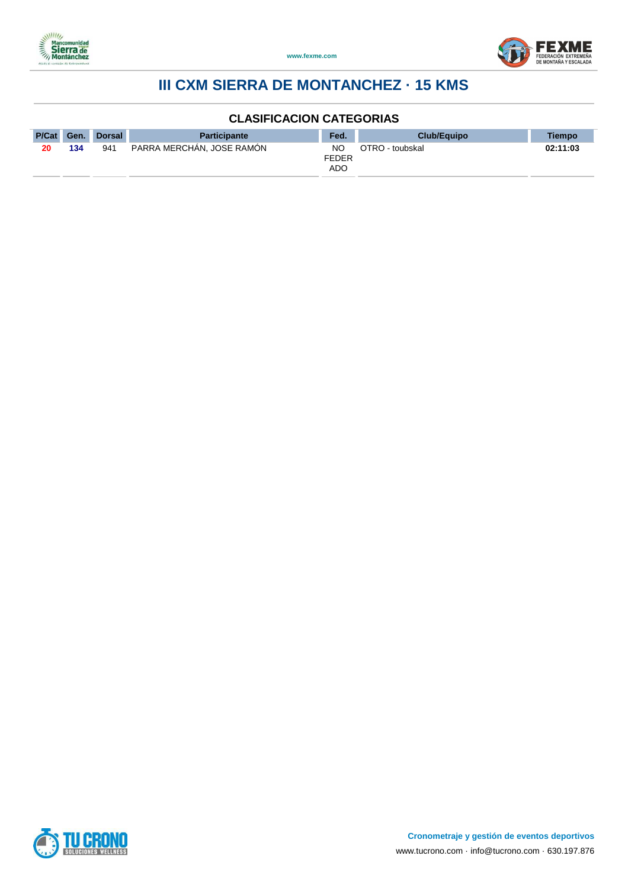



| P/Cat Gen. |     | Dorsal | <b>Participante</b>       | Fed. | <b>Club/Equipo</b> | <b>Tiempo</b> |
|------------|-----|--------|---------------------------|------|--------------------|---------------|
| 20         | 134 | 941    | PARRA MERCHAN, JOSE RAMON |      | OTRO - toubskal    | 02:11:03      |